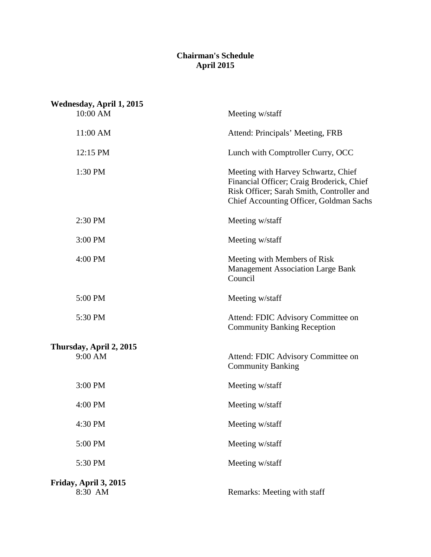## **Chairman's Schedule April 2015**

| Wednesday, April 1, 2015<br>10:00 AM | Meeting w/staff                                                                                                                                                          |
|--------------------------------------|--------------------------------------------------------------------------------------------------------------------------------------------------------------------------|
| 11:00 AM                             | Attend: Principals' Meeting, FRB                                                                                                                                         |
| 12:15 PM                             | Lunch with Comptroller Curry, OCC                                                                                                                                        |
| 1:30 PM                              | Meeting with Harvey Schwartz, Chief<br>Financial Officer; Craig Broderick, Chief<br>Risk Officer; Sarah Smith, Controller and<br>Chief Accounting Officer, Goldman Sachs |
| 2:30 PM                              | Meeting w/staff                                                                                                                                                          |
| 3:00 PM                              | Meeting w/staff                                                                                                                                                          |
| 4:00 PM                              | Meeting with Members of Risk<br><b>Management Association Large Bank</b><br>Council                                                                                      |
| 5:00 PM                              | Meeting w/staff                                                                                                                                                          |
| 5:30 PM                              | Attend: FDIC Advisory Committee on<br><b>Community Banking Reception</b>                                                                                                 |
| Thursday, April 2, 2015              |                                                                                                                                                                          |
| 9:00 AM                              | Attend: FDIC Advisory Committee on<br><b>Community Banking</b>                                                                                                           |
| 3:00 PM                              | Meeting w/staff                                                                                                                                                          |
| 4:00 PM                              | Meeting w/staff                                                                                                                                                          |
| 4:30 PM                              | Meeting w/staff                                                                                                                                                          |
| 5:00 PM                              | Meeting w/staff                                                                                                                                                          |
| 5:30 PM                              | Meeting w/staff                                                                                                                                                          |
| Friday, April 3, 2015<br>8:30 AM     | Remarks: Meeting with staff                                                                                                                                              |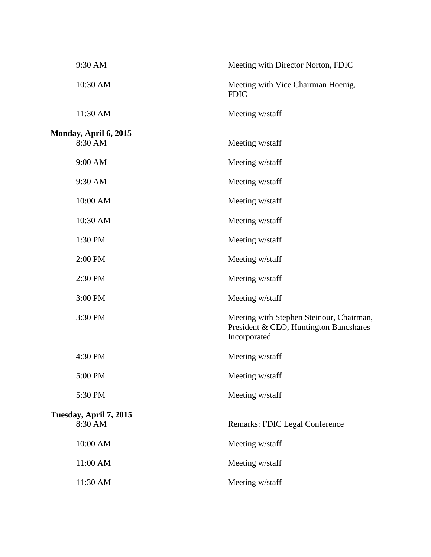| 9:30 AM                           | Meeting with Director Norton, FDIC                                                                 |
|-----------------------------------|----------------------------------------------------------------------------------------------------|
| 10:30 AM                          | Meeting with Vice Chairman Hoenig,<br><b>FDIC</b>                                                  |
| 11:30 AM                          | Meeting w/staff                                                                                    |
| Monday, April 6, 2015<br>8:30 AM  | Meeting w/staff                                                                                    |
| 9:00 AM                           | Meeting w/staff                                                                                    |
| 9:30 AM                           | Meeting w/staff                                                                                    |
| 10:00 AM                          | Meeting w/staff                                                                                    |
| 10:30 AM                          | Meeting w/staff                                                                                    |
| 1:30 PM                           | Meeting w/staff                                                                                    |
| 2:00 PM                           | Meeting w/staff                                                                                    |
| 2:30 PM                           | Meeting w/staff                                                                                    |
| 3:00 PM                           | Meeting w/staff                                                                                    |
| 3:30 PM                           | Meeting with Stephen Steinour, Chairman,<br>President & CEO, Huntington Bancshares<br>Incorporated |
| 4:30 PM                           | Meeting w/staff                                                                                    |
| 5:00 PM                           | Meeting w/staff                                                                                    |
| 5:30 PM                           | Meeting w/staff                                                                                    |
| Tuesday, April 7, 2015<br>8:30 AM | Remarks: FDIC Legal Conference                                                                     |
| 10:00 AM                          | Meeting w/staff                                                                                    |
| 11:00 AM                          | Meeting w/staff                                                                                    |
| 11:30 AM                          | Meeting w/staff                                                                                    |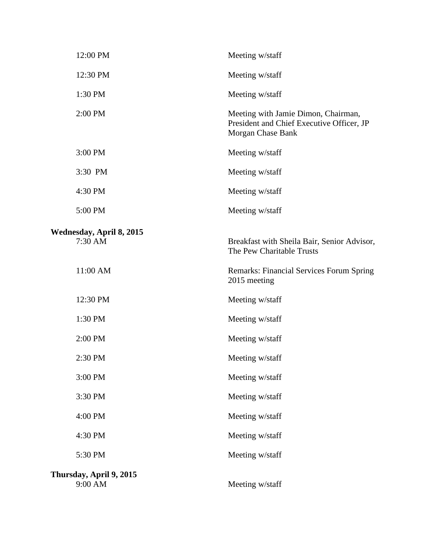| 12:00 PM                            | Meeting w/staff                                                                                       |
|-------------------------------------|-------------------------------------------------------------------------------------------------------|
| 12:30 PM                            | Meeting w/staff                                                                                       |
| 1:30 PM                             | Meeting w/staff                                                                                       |
| 2:00 PM                             | Meeting with Jamie Dimon, Chairman,<br>President and Chief Executive Officer, JP<br>Morgan Chase Bank |
| 3:00 PM                             | Meeting w/staff                                                                                       |
| 3:30 PM                             | Meeting w/staff                                                                                       |
| 4:30 PM                             | Meeting w/staff                                                                                       |
| 5:00 PM                             | Meeting w/staff                                                                                       |
| Wednesday, April 8, 2015<br>7:30 AM | Breakfast with Sheila Bair, Senior Advisor,<br>The Pew Charitable Trusts                              |
| 11:00 AM                            | Remarks: Financial Services Forum Spring<br>2015 meeting                                              |
| 12:30 PM                            | Meeting w/staff                                                                                       |
| 1:30 PM                             | Meeting w/staff                                                                                       |
| 2:00 PM                             | Meeting w/staff                                                                                       |
| 2:30 PM                             | Meeting w/staff                                                                                       |
| 3:00 PM                             | Meeting w/staff                                                                                       |
| 3:30 PM                             | Meeting w/staff                                                                                       |
| 4:00 PM                             | Meeting w/staff                                                                                       |
| 4:30 PM                             | Meeting w/staff                                                                                       |
| 5:30 PM                             | Meeting w/staff                                                                                       |
| Thursday, April 9, 2015<br>9:00 AM  | Meeting w/staff                                                                                       |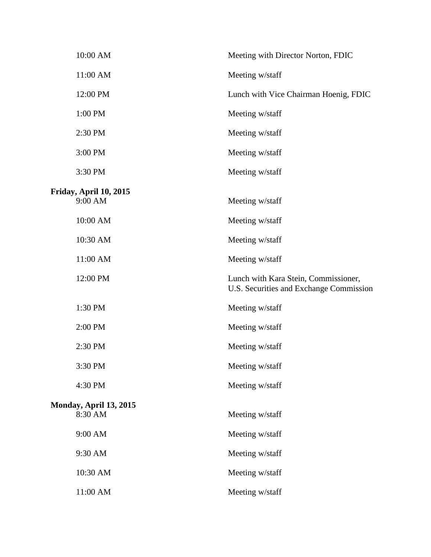| 10:00 AM                                 | Meeting with Director Norton, FDIC                                              |
|------------------------------------------|---------------------------------------------------------------------------------|
| 11:00 AM                                 | Meeting w/staff                                                                 |
| 12:00 PM                                 | Lunch with Vice Chairman Hoenig, FDIC                                           |
| 1:00 PM                                  | Meeting w/staff                                                                 |
| 2:30 PM                                  | Meeting w/staff                                                                 |
| 3:00 PM                                  | Meeting w/staff                                                                 |
| 3:30 PM                                  | Meeting w/staff                                                                 |
| Friday, April 10, 2015<br>9:00 AM        | Meeting w/staff                                                                 |
| 10:00 AM                                 | Meeting w/staff                                                                 |
| 10:30 AM                                 | Meeting w/staff                                                                 |
| 11:00 AM                                 | Meeting w/staff                                                                 |
| 12:00 PM                                 | Lunch with Kara Stein, Commissioner,<br>U.S. Securities and Exchange Commission |
| 1:30 PM                                  | Meeting w/staff                                                                 |
| 2:00 PM                                  | Meeting w/staff                                                                 |
| 2:30 PM                                  | Meeting w/staff                                                                 |
| 3:30 PM                                  | Meeting w/staff                                                                 |
| 4:30 PM                                  | Meeting w/staff                                                                 |
| <b>Monday, April 13, 2015</b><br>8:30 AM | Meeting w/staff                                                                 |
| 9:00 AM                                  | Meeting w/staff                                                                 |
| 9:30 AM                                  | Meeting w/staff                                                                 |
| 10:30 AM                                 | Meeting w/staff                                                                 |
| 11:00 AM                                 | Meeting w/staff                                                                 |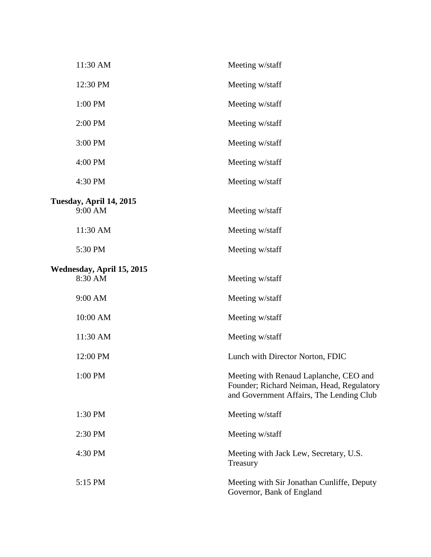| 11:30 AM                  | Meeting w/staff                                                                                                                 |
|---------------------------|---------------------------------------------------------------------------------------------------------------------------------|
| 12:30 PM                  | Meeting w/staff                                                                                                                 |
| 1:00 PM                   | Meeting w/staff                                                                                                                 |
| 2:00 PM                   | Meeting w/staff                                                                                                                 |
| 3:00 PM                   | Meeting w/staff                                                                                                                 |
| 4:00 PM                   | Meeting w/staff                                                                                                                 |
| 4:30 PM                   | Meeting w/staff                                                                                                                 |
| Tuesday, April 14, 2015   |                                                                                                                                 |
| 9:00 AM                   | Meeting w/staff                                                                                                                 |
| 11:30 AM                  | Meeting w/staff                                                                                                                 |
| 5:30 PM                   | Meeting w/staff                                                                                                                 |
| Wednesday, April 15, 2015 |                                                                                                                                 |
| 8:30 AM                   | Meeting w/staff                                                                                                                 |
| 9:00 AM                   | Meeting w/staff                                                                                                                 |
| 10:00 AM                  | Meeting w/staff                                                                                                                 |
| 11:30 AM                  | Meeting w/staff                                                                                                                 |
| 12:00 PM                  | Lunch with Director Norton, FDIC                                                                                                |
| 1:00 PM                   | Meeting with Renaud Laplanche, CEO and<br>Founder; Richard Neiman, Head, Regulatory<br>and Government Affairs, The Lending Club |
| 1:30 PM                   | Meeting w/staff                                                                                                                 |
| 2:30 PM                   | Meeting w/staff                                                                                                                 |
| 4:30 PM                   | Meeting with Jack Lew, Secretary, U.S.<br>Treasury                                                                              |
| 5:15 PM                   | Meeting with Sir Jonathan Cunliffe, Deputy<br>Governor, Bank of England                                                         |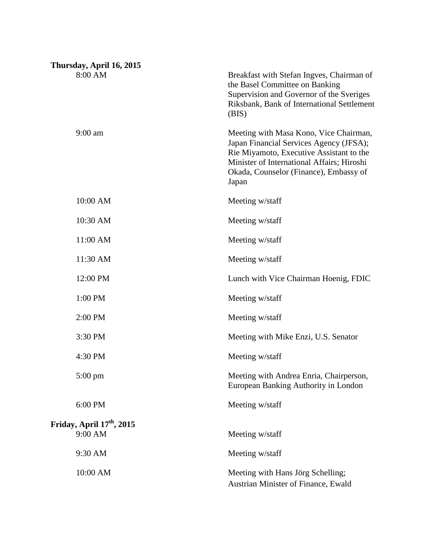| Thursday, April 16, 2015              |                                                                                                                                                                                                                                |
|---------------------------------------|--------------------------------------------------------------------------------------------------------------------------------------------------------------------------------------------------------------------------------|
| 8:00 AM                               | Breakfast with Stefan Ingves, Chairman of<br>the Basel Committee on Banking<br>Supervision and Governor of the Sveriges<br>Riksbank, Bank of International Settlement<br>(BIS)                                                 |
| $9:00$ am                             | Meeting with Masa Kono, Vice Chairman,<br>Japan Financial Services Agency (JFSA);<br>Rie Miyamoto, Executive Assistant to the<br>Minister of International Affairs; Hiroshi<br>Okada, Counselor (Finance), Embassy of<br>Japan |
| 10:00 AM                              | Meeting w/staff                                                                                                                                                                                                                |
| 10:30 AM                              | Meeting w/staff                                                                                                                                                                                                                |
| 11:00 AM                              | Meeting w/staff                                                                                                                                                                                                                |
| 11:30 AM                              | Meeting w/staff                                                                                                                                                                                                                |
| 12:00 PM                              | Lunch with Vice Chairman Hoenig, FDIC                                                                                                                                                                                          |
| 1:00 PM                               | Meeting w/staff                                                                                                                                                                                                                |
| 2:00 PM                               | Meeting w/staff                                                                                                                                                                                                                |
| 3:30 PM                               | Meeting with Mike Enzi, U.S. Senator                                                                                                                                                                                           |
| 4:30 PM                               | Meeting w/staff                                                                                                                                                                                                                |
| 5:00 pm                               | Meeting with Andrea Enria, Chairperson,<br>European Banking Authority in London                                                                                                                                                |
| 6:00 PM                               | Meeting w/staff                                                                                                                                                                                                                |
| Friday, April 17 <sup>th</sup> , 2015 |                                                                                                                                                                                                                                |
| 9:00 AM                               | Meeting w/staff                                                                                                                                                                                                                |
| 9:30 AM                               | Meeting w/staff                                                                                                                                                                                                                |
| 10:00 AM                              | Meeting with Hans Jörg Schelling;<br>Austrian Minister of Finance, Ewald                                                                                                                                                       |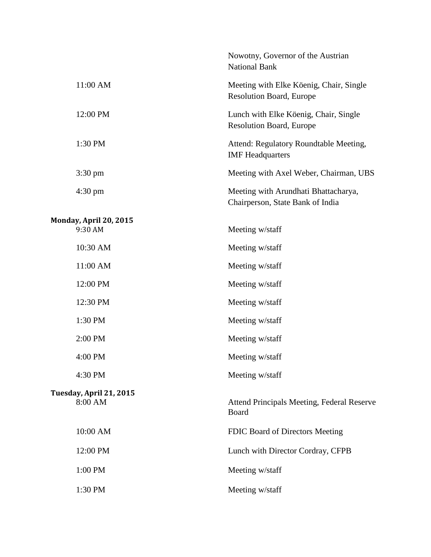|                                    | Nowotny, Governor of the Austrian<br><b>National Bank</b>                  |
|------------------------------------|----------------------------------------------------------------------------|
| 11:00 AM                           | Meeting with Elke Köenig, Chair, Single<br><b>Resolution Board, Europe</b> |
| 12:00 PM                           | Lunch with Elke Köenig, Chair, Single<br><b>Resolution Board, Europe</b>   |
| 1:30 PM                            | Attend: Regulatory Roundtable Meeting,<br><b>IMF</b> Headquarters          |
| $3:30 \text{ pm}$                  | Meeting with Axel Weber, Chairman, UBS                                     |
| $4:30 \text{ pm}$                  | Meeting with Arundhati Bhattacharya,<br>Chairperson, State Bank of India   |
| Monday, April 20, 2015<br>9:30 AM  | Meeting w/staff                                                            |
| 10:30 AM                           | Meeting w/staff                                                            |
| 11:00 AM                           | Meeting w/staff                                                            |
| 12:00 PM                           | Meeting w/staff                                                            |
| 12:30 PM                           | Meeting w/staff                                                            |
| 1:30 PM                            | Meeting w/staff                                                            |
| 2:00 PM                            | Meeting w/staff                                                            |
| 4:00 PM                            | Meeting w/staff                                                            |
|                                    |                                                                            |
| 4:30 PM                            | Meeting w/staff                                                            |
| Tuesday, April 21, 2015<br>8:00 AM | Attend Principals Meeting, Federal Reserve<br>Board                        |
| 10:00 AM                           | FDIC Board of Directors Meeting                                            |
| 12:00 PM                           | Lunch with Director Cordray, CFPB                                          |
| 1:00 PM                            | Meeting w/staff                                                            |
| 1:30 PM                            | Meeting w/staff                                                            |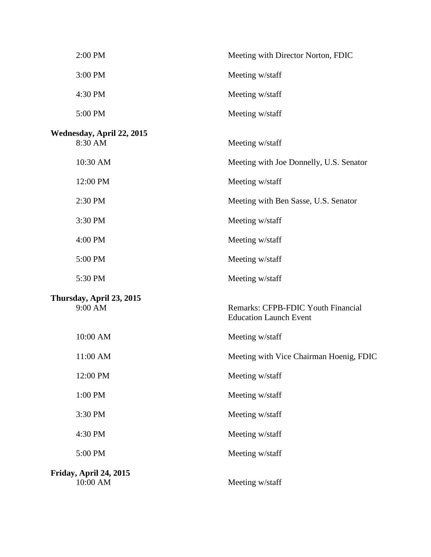| 2:00 PM                              | Meeting with Director Norton, FDIC                                  |
|--------------------------------------|---------------------------------------------------------------------|
| 3:00 PM                              | Meeting w/staff                                                     |
| 4:30 PM                              | Meeting w/staff                                                     |
| 5:00 PM                              | Meeting w/staff                                                     |
| Wednesday, April 22, 2015<br>8:30 AM | Meeting w/staff                                                     |
| 10:30 AM                             | Meeting with Joe Donnelly, U.S. Senator                             |
| 12:00 PM                             | Meeting w/staff                                                     |
| 2:30 PM                              | Meeting with Ben Sasse, U.S. Senator                                |
| 3:30 PM                              | Meeting w/staff                                                     |
| 4:00 PM                              | Meeting w/staff                                                     |
| 5:00 PM                              | Meeting w/staff                                                     |
| 5:30 PM                              | Meeting w/staff                                                     |
| Thursday, April 23, 2015<br>9:00 AM  | Remarks: CFPB-FDIC Youth Financial<br><b>Education Launch Event</b> |
| 10:00 AM                             | Meeting w/staff                                                     |
| 11:00 AM                             | Meeting with Vice Chairman Hoenig, FDIC                             |
| 12:00 PM                             | Meeting w/staff                                                     |
| 1:00 PM                              | Meeting w/staff                                                     |
| 3:30 PM                              | Meeting w/staff                                                     |
| 4:30 PM                              | Meeting w/staff                                                     |
| 5:00 PM                              | Meeting w/staff                                                     |
| Friday, April 24, 2015<br>10:00 AM   | Meeting w/staff                                                     |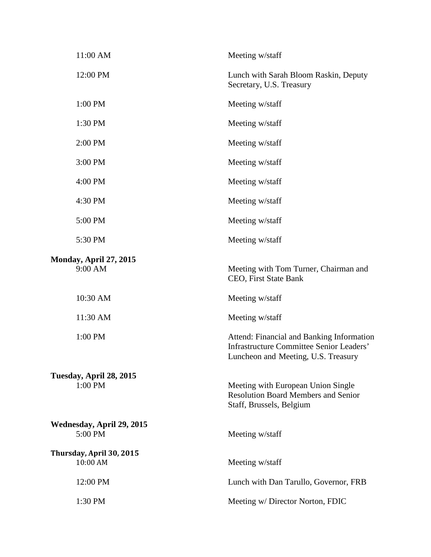| 11:00 AM                             | Meeting w/staff                                                                                                                     |
|--------------------------------------|-------------------------------------------------------------------------------------------------------------------------------------|
| 12:00 PM                             | Lunch with Sarah Bloom Raskin, Deputy<br>Secretary, U.S. Treasury                                                                   |
| 1:00 PM                              | Meeting w/staff                                                                                                                     |
| 1:30 PM                              | Meeting w/staff                                                                                                                     |
| 2:00 PM                              | Meeting w/staff                                                                                                                     |
| 3:00 PM                              | Meeting w/staff                                                                                                                     |
| 4:00 PM                              | Meeting w/staff                                                                                                                     |
| 4:30 PM                              | Meeting w/staff                                                                                                                     |
| 5:00 PM                              | Meeting w/staff                                                                                                                     |
| 5:30 PM                              | Meeting w/staff                                                                                                                     |
| Monday, April 27, 2015<br>9:00 AM    | Meeting with Tom Turner, Chairman and<br>CEO, First State Bank                                                                      |
| 10:30 AM                             | Meeting w/staff                                                                                                                     |
| 11:30 AM                             | Meeting w/staff                                                                                                                     |
| 1:00 PM                              | Attend: Financial and Banking Information<br><b>Infrastructure Committee Senior Leaders'</b><br>Luncheon and Meeting, U.S. Treasury |
| Tuesday, April 28, 2015<br>1:00 PM   | Meeting with European Union Single<br><b>Resolution Board Members and Senior</b><br>Staff, Brussels, Belgium                        |
| Wednesday, April 29, 2015<br>5:00 PM | Meeting w/staff                                                                                                                     |
| Thursday, April 30, 2015<br>10:00 AM | Meeting w/staff                                                                                                                     |
| 12:00 PM                             | Lunch with Dan Tarullo, Governor, FRB                                                                                               |
| 1:30 PM                              | Meeting w/ Director Norton, FDIC                                                                                                    |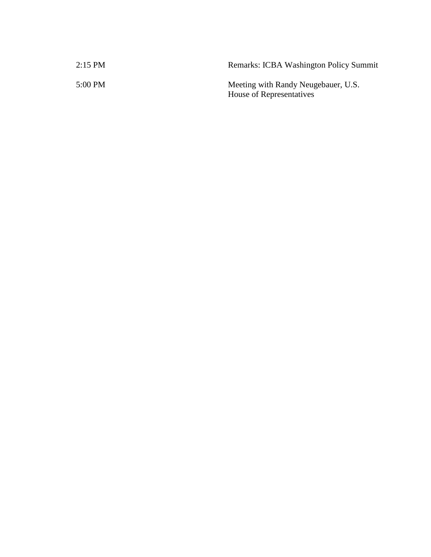| 2:15 PM | <b>Remarks: ICBA Washington Policy Summit</b>                   |
|---------|-----------------------------------------------------------------|
| 5:00 PM | Meeting with Randy Neugebauer, U.S.<br>House of Representatives |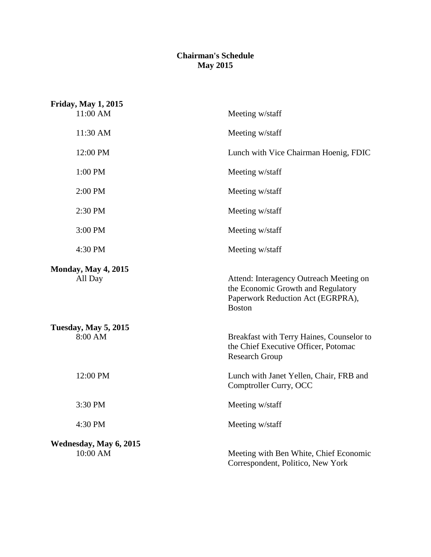## **Chairman's Schedule May 2015**

| <b>Friday, May 1, 2015</b><br>11:00 AM | Meeting w/staff                                                                                                                     |
|----------------------------------------|-------------------------------------------------------------------------------------------------------------------------------------|
| 11:30 AM                               | Meeting w/staff                                                                                                                     |
| 12:00 PM                               | Lunch with Vice Chairman Hoenig, FDIC                                                                                               |
| 1:00 PM                                | Meeting w/staff                                                                                                                     |
| 2:00 PM                                | Meeting w/staff                                                                                                                     |
| 2:30 PM                                | Meeting w/staff                                                                                                                     |
| 3:00 PM                                | Meeting w/staff                                                                                                                     |
| 4:30 PM                                | Meeting w/staff                                                                                                                     |
| <b>Monday, May 4, 2015</b><br>All Day  | Attend: Interagency Outreach Meeting on<br>the Economic Growth and Regulatory<br>Paperwork Reduction Act (EGRPRA),<br><b>Boston</b> |
| <b>Tuesday, May 5, 2015</b><br>8:00 AM | Breakfast with Terry Haines, Counselor to<br>the Chief Executive Officer, Potomac<br><b>Research Group</b>                          |
| 12:00 PM                               | Lunch with Janet Yellen, Chair, FRB and<br>Comptroller Curry, OCC                                                                   |
| 3:30 PM                                | Meeting w/staff                                                                                                                     |
| 4:30 PM                                | Meeting w/staff                                                                                                                     |
| Wednesday, May 6, 2015<br>10:00 AM     | Meeting with Ben White, Chief Economic<br>Correspondent, Politico, New York                                                         |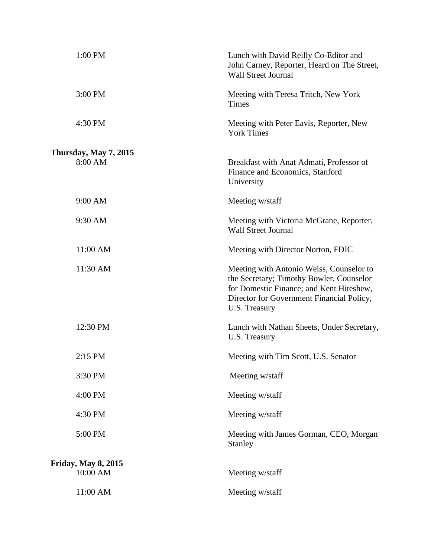| 1:00 PM                    | Lunch with David Reilly Co-Editor and<br>John Carney, Reporter, Heard on The Street,<br><b>Wall Street Journal</b>                                                                             |
|----------------------------|------------------------------------------------------------------------------------------------------------------------------------------------------------------------------------------------|
| 3:00 PM                    | Meeting with Teresa Tritch, New York<br>Times                                                                                                                                                  |
| 4:30 PM                    | Meeting with Peter Eavis, Reporter, New<br><b>York Times</b>                                                                                                                                   |
| Thursday, May 7, 2015      |                                                                                                                                                                                                |
| 8:00 AM                    | Breakfast with Anat Admati, Professor of<br>Finance and Economics, Stanford<br>University                                                                                                      |
| 9:00 AM                    | Meeting w/staff                                                                                                                                                                                |
| 9:30 AM                    | Meeting with Victoria McGrane, Reporter,<br><b>Wall Street Journal</b>                                                                                                                         |
| 11:00 AM                   | Meeting with Director Norton, FDIC                                                                                                                                                             |
| 11:30 AM                   | Meeting with Antonio Weiss, Counselor to<br>the Secretary; Timothy Bowler, Counselor<br>for Domestic Finance; and Kent Hiteshew,<br>Director for Government Financial Policy,<br>U.S. Treasury |
| 12:30 PM                   | Lunch with Nathan Sheets, Under Secretary,<br>U.S. Treasury                                                                                                                                    |
| 2:15 PM                    | Meeting with Tim Scott, U.S. Senator                                                                                                                                                           |
| 3:30 PM                    | Meeting w/staff                                                                                                                                                                                |
| 4:00 PM                    | Meeting w/staff                                                                                                                                                                                |
| 4:30 PM                    | Meeting w/staff                                                                                                                                                                                |
| 5:00 PM                    | Meeting with James Gorman, CEO, Morgan<br>Stanley                                                                                                                                              |
| <b>Friday, May 8, 2015</b> |                                                                                                                                                                                                |
| 10:00 AM                   | Meeting w/staff                                                                                                                                                                                |
| 11:00 AM                   | Meeting w/staff                                                                                                                                                                                |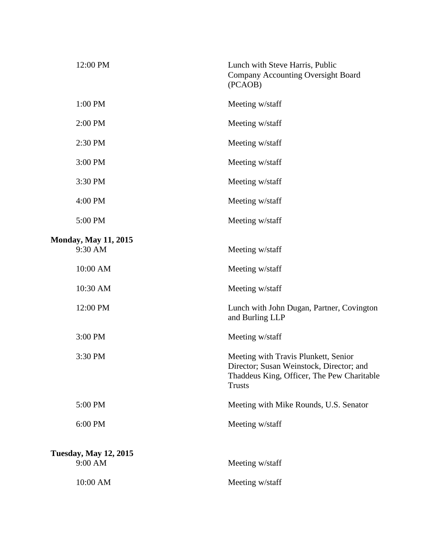| 12:00 PM                                | Lunch with Steve Harris, Public<br><b>Company Accounting Oversight Board</b><br>(PCAOB)                                                         |
|-----------------------------------------|-------------------------------------------------------------------------------------------------------------------------------------------------|
| 1:00 PM                                 | Meeting w/staff                                                                                                                                 |
| 2:00 PM                                 | Meeting w/staff                                                                                                                                 |
| 2:30 PM                                 | Meeting w/staff                                                                                                                                 |
| 3:00 PM                                 | Meeting w/staff                                                                                                                                 |
| 3:30 PM                                 | Meeting w/staff                                                                                                                                 |
| 4:00 PM                                 | Meeting w/staff                                                                                                                                 |
| 5:00 PM                                 | Meeting w/staff                                                                                                                                 |
| <b>Monday, May 11, 2015</b><br>9:30 AM  | Meeting w/staff                                                                                                                                 |
| 10:00 AM                                | Meeting w/staff                                                                                                                                 |
| 10:30 AM                                | Meeting w/staff                                                                                                                                 |
| 12:00 PM                                | Lunch with John Dugan, Partner, Covington<br>and Burling LLP                                                                                    |
| 3:00 PM                                 | Meeting w/staff                                                                                                                                 |
| 3:30 PM                                 | Meeting with Travis Plunkett, Senior<br>Director; Susan Weinstock, Director; and<br>Thaddeus King, Officer, The Pew Charitable<br><b>Trusts</b> |
| 5:00 PM                                 | Meeting with Mike Rounds, U.S. Senator                                                                                                          |
| 6:00 PM                                 | Meeting w/staff                                                                                                                                 |
| <b>Tuesday, May 12, 2015</b><br>9:00 AM | Meeting w/staff                                                                                                                                 |
| 10:00 AM                                | Meeting w/staff                                                                                                                                 |
|                                         |                                                                                                                                                 |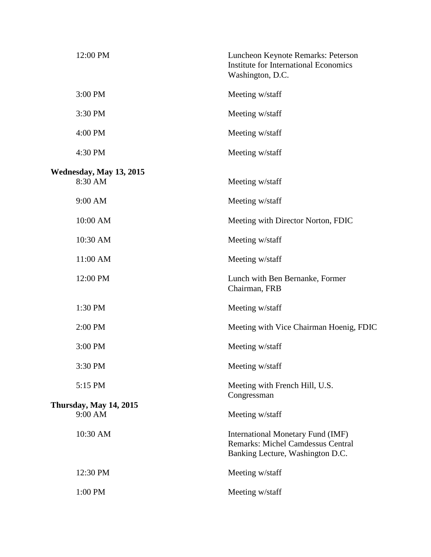| 12:00 PM                                 | Luncheon Keynote Remarks: Peterson<br><b>Institute for International Economics</b><br>Washington, D.C.            |
|------------------------------------------|-------------------------------------------------------------------------------------------------------------------|
| 3:00 PM                                  | Meeting w/staff                                                                                                   |
| 3:30 PM                                  | Meeting w/staff                                                                                                   |
| 4:00 PM                                  | Meeting w/staff                                                                                                   |
| 4:30 PM                                  | Meeting w/staff                                                                                                   |
| Wednesday, May 13, 2015<br>8:30 AM       | Meeting w/staff                                                                                                   |
| 9:00 AM                                  | Meeting w/staff                                                                                                   |
| 10:00 AM                                 | Meeting with Director Norton, FDIC                                                                                |
| 10:30 AM                                 | Meeting w/staff                                                                                                   |
| 11:00 AM                                 | Meeting w/staff                                                                                                   |
| 12:00 PM                                 | Lunch with Ben Bernanke, Former<br>Chairman, FRB                                                                  |
| 1:30 PM                                  | Meeting w/staff                                                                                                   |
| 2:00 PM                                  | Meeting with Vice Chairman Hoenig, FDIC                                                                           |
| 3:00 PM                                  | Meeting w/staff                                                                                                   |
| 3:30 PM                                  | Meeting w/staff                                                                                                   |
| 5:15 PM                                  | Meeting with French Hill, U.S.                                                                                    |
| <b>Thursday, May 14, 2015</b><br>9:00 AM | Congressman<br>Meeting w/staff                                                                                    |
| 10:30 AM                                 | International Monetary Fund (IMF)<br><b>Remarks: Michel Camdessus Central</b><br>Banking Lecture, Washington D.C. |
| 12:30 PM                                 | Meeting w/staff                                                                                                   |
| 1:00 PM                                  | Meeting w/staff                                                                                                   |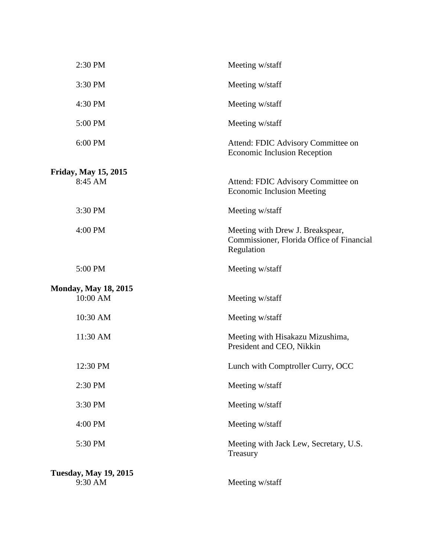| 2:30 PM                      | Meeting w/staff                                                                             |
|------------------------------|---------------------------------------------------------------------------------------------|
| 3:30 PM                      | Meeting w/staff                                                                             |
| 4:30 PM                      | Meeting w/staff                                                                             |
| 5:00 PM                      | Meeting w/staff                                                                             |
| 6:00 PM                      | Attend: FDIC Advisory Committee on<br><b>Economic Inclusion Reception</b>                   |
| <b>Friday, May 15, 2015</b>  |                                                                                             |
| 8:45 AM                      | Attend: FDIC Advisory Committee on<br><b>Economic Inclusion Meeting</b>                     |
| 3:30 PM                      | Meeting w/staff                                                                             |
| 4:00 PM                      | Meeting with Drew J. Breakspear,<br>Commissioner, Florida Office of Financial<br>Regulation |
| 5:00 PM                      | Meeting w/staff                                                                             |
| <b>Monday, May 18, 2015</b>  |                                                                                             |
| 10:00 AM                     | Meeting w/staff                                                                             |
| 10:30 AM                     | Meeting w/staff                                                                             |
| 11:30 AM                     | Meeting with Hisakazu Mizushima,<br>President and CEO, Nikkin                               |
| 12:30 PM                     | Lunch with Comptroller Curry, OCC                                                           |
| 2:30 PM                      | Meeting w/staff                                                                             |
| 3:30 PM                      | Meeting w/staff                                                                             |
| 4:00 PM                      | Meeting w/staff                                                                             |
| 5:30 PM                      | Meeting with Jack Lew, Secretary, U.S.<br>Treasury                                          |
| <b>Tuesday, May 19, 2015</b> |                                                                                             |
| 9:30 AM                      | Meeting w/staff                                                                             |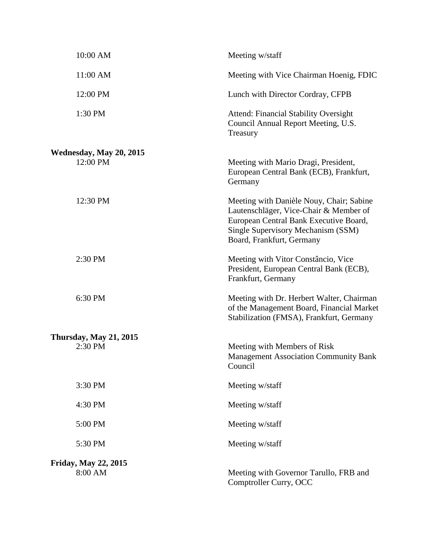| 10:00 AM                       | Meeting w/staff                                                                                                                                                                                 |
|--------------------------------|-------------------------------------------------------------------------------------------------------------------------------------------------------------------------------------------------|
| 11:00 AM                       | Meeting with Vice Chairman Hoenig, FDIC                                                                                                                                                         |
| 12:00 PM                       | Lunch with Director Cordray, CFPB                                                                                                                                                               |
| 1:30 PM                        | <b>Attend: Financial Stability Oversight</b><br>Council Annual Report Meeting, U.S.<br>Treasury                                                                                                 |
| <b>Wednesday, May 20, 2015</b> |                                                                                                                                                                                                 |
| 12:00 PM                       | Meeting with Mario Dragi, President,<br>European Central Bank (ECB), Frankfurt,<br>Germany                                                                                                      |
| 12:30 PM                       | Meeting with Danièle Nouy, Chair; Sabine<br>Lautenschläger, Vice-Chair & Member of<br>European Central Bank Executive Board,<br>Single Supervisory Mechanism (SSM)<br>Board, Frankfurt, Germany |
| 2:30 PM                        | Meeting with Vitor Constâncio, Vice<br>President, European Central Bank (ECB),<br>Frankfurt, Germany                                                                                            |
| 6:30 PM                        | Meeting with Dr. Herbert Walter, Chairman<br>of the Management Board, Financial Market<br>Stabilization (FMSA), Frankfurt, Germany                                                              |
| <b>Thursday, May 21, 2015</b>  |                                                                                                                                                                                                 |
| 2:30 PM                        | Meeting with Members of Risk<br><b>Management Association Community Bank</b><br>Council                                                                                                         |
| 3:30 PM                        | Meeting w/staff                                                                                                                                                                                 |
| 4:30 PM                        | Meeting w/staff                                                                                                                                                                                 |
| 5:00 PM                        | Meeting w/staff                                                                                                                                                                                 |
| 5:30 PM                        | Meeting w/staff                                                                                                                                                                                 |
| <b>Friday, May 22, 2015</b>    |                                                                                                                                                                                                 |
| 8:00 AM                        | Meeting with Governor Tarullo, FRB and<br>Comptroller Curry, OCC                                                                                                                                |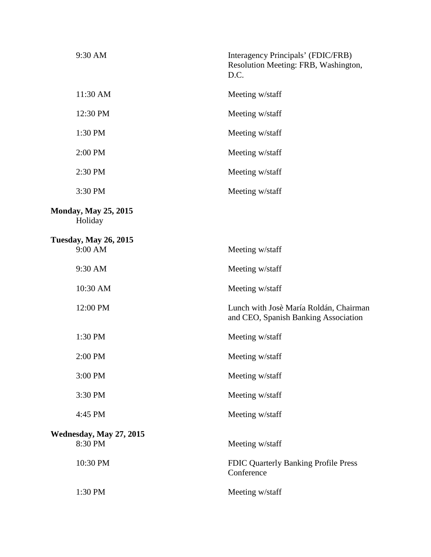| 9:30 AM                                 | Interagency Principals' (FDIC/FRB)<br>Resolution Meeting: FRB, Washington,<br>D.C. |
|-----------------------------------------|------------------------------------------------------------------------------------|
| 11:30 AM                                | Meeting w/staff                                                                    |
| 12:30 PM                                | Meeting w/staff                                                                    |
| 1:30 PM                                 | Meeting w/staff                                                                    |
| 2:00 PM                                 | Meeting w/staff                                                                    |
| 2:30 PM                                 | Meeting w/staff                                                                    |
| 3:30 PM                                 | Meeting w/staff                                                                    |
| <b>Monday, May 25, 2015</b><br>Holiday  |                                                                                    |
| <b>Tuesday, May 26, 2015</b><br>9:00 AM | Meeting w/staff                                                                    |
| 9:30 AM                                 | Meeting w/staff                                                                    |
| 10:30 AM                                | Meeting w/staff                                                                    |
| 12:00 PM                                | Lunch with Josè María Roldán, Chairman<br>and CEO, Spanish Banking Association     |
| 1:30 PM                                 | Meeting w/staff                                                                    |
| 2:00 PM                                 | Meeting w/staff                                                                    |
| 3:00 PM                                 | Meeting w/staff                                                                    |
| 3:30 PM                                 | Meeting w/staff                                                                    |
| 4:45 PM                                 | Meeting w/staff                                                                    |
| Wednesday, May 27, 2015<br>8:30 PM      | Meeting w/staff                                                                    |
| 10:30 PM                                | FDIC Quarterly Banking Profile Press<br>Conference                                 |
| 1:30 PM                                 | Meeting w/staff                                                                    |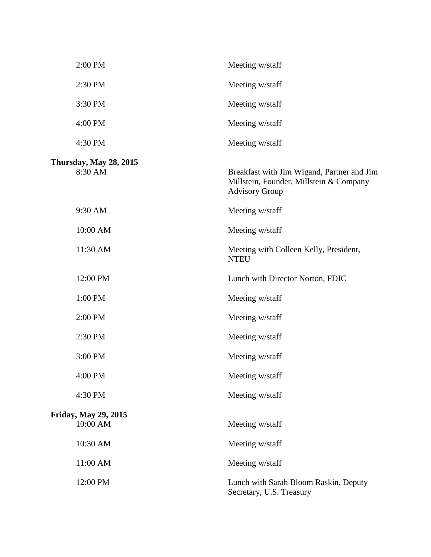| 2:00 PM                                 | Meeting w/staff                                                                                                |
|-----------------------------------------|----------------------------------------------------------------------------------------------------------------|
| 2:30 PM                                 | Meeting w/staff                                                                                                |
| 3:30 PM                                 | Meeting w/staff                                                                                                |
| 4:00 PM                                 | Meeting w/staff                                                                                                |
| 4:30 PM                                 | Meeting w/staff                                                                                                |
| Thursday, May 28, 2015<br>8:30 AM       | Breakfast with Jim Wigand, Partner and Jim<br>Millstein, Founder, Millstein & Company<br><b>Advisory Group</b> |
| 9:30 AM                                 | Meeting w/staff                                                                                                |
| 10:00 AM                                | Meeting w/staff                                                                                                |
| 11:30 AM                                | Meeting with Colleen Kelly, President,<br><b>NTEU</b>                                                          |
| 12:00 PM                                | Lunch with Director Norton, FDIC                                                                               |
| 1:00 PM                                 | Meeting w/staff                                                                                                |
| 2:00 PM                                 | Meeting w/staff                                                                                                |
| 2:30 PM                                 | Meeting w/staff                                                                                                |
| 3:00 PM                                 | Meeting w/staff                                                                                                |
| 4:00 PM                                 | Meeting w/staff                                                                                                |
| 4:30 PM                                 | Meeting w/staff                                                                                                |
| <b>Friday, May 29, 2015</b><br>10:00 AM | Meeting w/staff                                                                                                |
| 10:30 AM                                | Meeting w/staff                                                                                                |
| 11:00 AM                                | Meeting w/staff                                                                                                |
| 12:00 PM                                | Lunch with Sarah Bloom Raskin, Deputy<br>Secretary, U.S. Treasury                                              |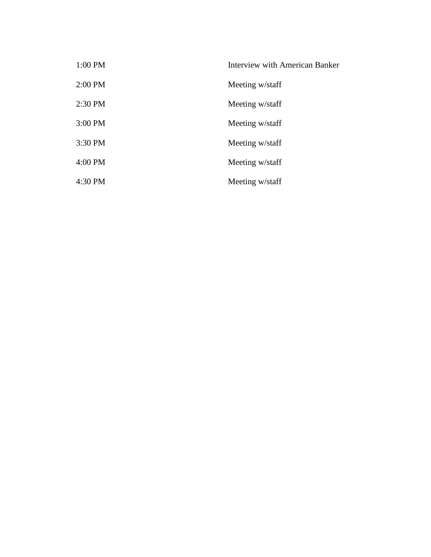| 1:00 PM   | Interview with American Banker |
|-----------|--------------------------------|
| $2:00$ PM | Meeting w/staff                |
| $2:30$ PM | Meeting w/staff                |
| 3:00 PM   | Meeting w/staff                |
| 3:30 PM   | Meeting w/staff                |
| 4:00 PM   | Meeting w/staff                |
| 4:30 PM   | Meeting w/staff                |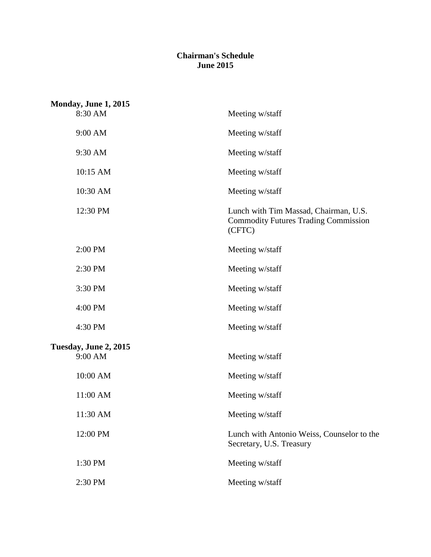## **Chairman's Schedule June 2015**

| <b>Monday, June 1, 2015</b>      |                                                                                                |
|----------------------------------|------------------------------------------------------------------------------------------------|
| 8:30 AM                          | Meeting w/staff                                                                                |
| 9:00 AM                          | Meeting w/staff                                                                                |
| 9:30 AM                          | Meeting w/staff                                                                                |
| 10:15 AM                         | Meeting w/staff                                                                                |
| 10:30 AM                         | Meeting w/staff                                                                                |
| 12:30 PM                         | Lunch with Tim Massad, Chairman, U.S.<br><b>Commodity Futures Trading Commission</b><br>(CFTC) |
| 2:00 PM                          | Meeting w/staff                                                                                |
| 2:30 PM                          | Meeting w/staff                                                                                |
| 3:30 PM                          | Meeting w/staff                                                                                |
| 4:00 PM                          | Meeting w/staff                                                                                |
| 4:30 PM                          | Meeting w/staff                                                                                |
| Tuesday, June 2, 2015<br>9:00 AM | Meeting w/staff                                                                                |
| 10:00 AM                         | Meeting w/staff                                                                                |
| 11:00 AM                         | Meeting w/staff                                                                                |
| 11:30 AM                         | Meeting w/staff                                                                                |
| 12:00 PM                         | Lunch with Antonio Weiss, Counselor to the<br>Secretary, U.S. Treasury                         |
| 1:30 PM                          | Meeting w/staff                                                                                |
| 2:30 PM                          | Meeting w/staff                                                                                |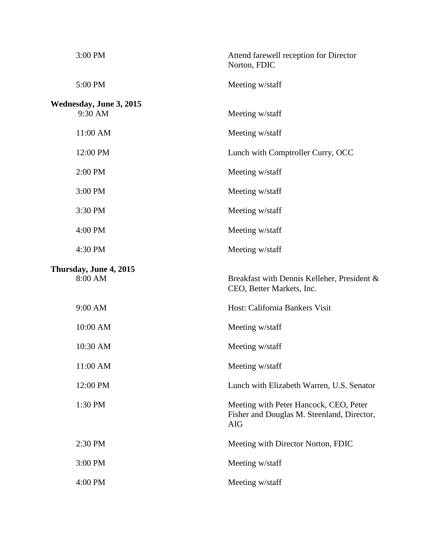| 3:00 PM                            | Attend farewell reception for Director<br>Norton, FDIC                                             |
|------------------------------------|----------------------------------------------------------------------------------------------------|
| 5:00 PM                            | Meeting w/staff                                                                                    |
| Wednesday, June 3, 2015<br>9:30 AM | Meeting w/staff                                                                                    |
| 11:00 AM                           | Meeting w/staff                                                                                    |
| 12:00 PM                           | Lunch with Comptroller Curry, OCC                                                                  |
| 2:00 PM                            | Meeting w/staff                                                                                    |
| 3:00 PM                            | Meeting w/staff                                                                                    |
| 3:30 PM                            | Meeting w/staff                                                                                    |
| 4:00 PM                            | Meeting w/staff                                                                                    |
| 4:30 PM                            | Meeting w/staff                                                                                    |
| Thursday, June 4, 2015<br>8:00 AM  | Breakfast with Dennis Kelleher, President &<br>CEO, Better Markets, Inc.                           |
| 9:00 AM                            | Host: California Bankers Visit                                                                     |
| 10:00 AM                           | Meeting w/staff                                                                                    |
| 10:30 AM                           | Meeting w/staff                                                                                    |
| 11:00 AM                           | Meeting w/staff                                                                                    |
| 12:00 PM                           | Lunch with Elizabeth Warren, U.S. Senator                                                          |
| 1:30 PM                            | Meeting with Peter Hancock, CEO, Peter<br>Fisher and Douglas M. Steenland, Director,<br><b>AIG</b> |
| 2:30 PM                            | Meeting with Director Norton, FDIC                                                                 |
| 3:00 PM                            | Meeting w/staff                                                                                    |
| 4:00 PM                            | Meeting w/staff                                                                                    |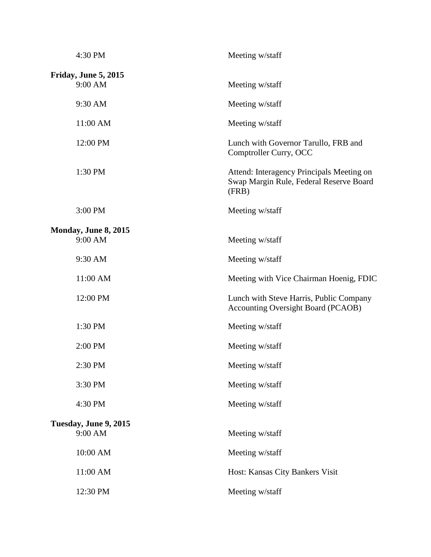| 4:30 PM                          | Meeting w/staff                                                                               |
|----------------------------------|-----------------------------------------------------------------------------------------------|
| Friday, June 5, 2015<br>9:00 AM  | Meeting w/staff                                                                               |
| 9:30 AM                          | Meeting w/staff                                                                               |
| 11:00 AM                         | Meeting w/staff                                                                               |
| 12:00 PM                         | Lunch with Governor Tarullo, FRB and<br>Comptroller Curry, OCC                                |
| 1:30 PM                          | Attend: Interagency Principals Meeting on<br>Swap Margin Rule, Federal Reserve Board<br>(FRB) |
| 3:00 PM                          | Meeting w/staff                                                                               |
| Monday, June 8, 2015<br>9:00 AM  | Meeting w/staff                                                                               |
| 9:30 AM                          | Meeting w/staff                                                                               |
| 11:00 AM                         | Meeting with Vice Chairman Hoenig, FDIC                                                       |
| 12:00 PM                         | Lunch with Steve Harris, Public Company<br><b>Accounting Oversight Board (PCAOB)</b>          |
| 1:30 PM                          | Meeting w/staff                                                                               |
| 2:00 PM                          | Meeting w/staff                                                                               |
| 2:30 PM                          | Meeting w/staff                                                                               |
| 3:30 PM                          | Meeting w/staff                                                                               |
| 4:30 PM                          | Meeting w/staff                                                                               |
| Tuesday, June 9, 2015<br>9:00 AM | Meeting w/staff                                                                               |
| 10:00 AM                         | Meeting w/staff                                                                               |
| 11:00 AM                         | Host: Kansas City Bankers Visit                                                               |
| 12:30 PM                         | Meeting w/staff                                                                               |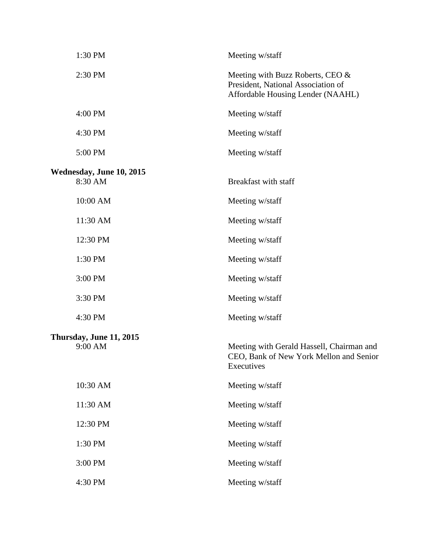| 1:30 PM                             | Meeting w/staff                                                                                             |
|-------------------------------------|-------------------------------------------------------------------------------------------------------------|
| 2:30 PM                             | Meeting with Buzz Roberts, CEO &<br>President, National Association of<br>Affordable Housing Lender (NAAHL) |
| 4:00 PM                             | Meeting w/staff                                                                                             |
| 4:30 PM                             | Meeting w/staff                                                                                             |
| 5:00 PM                             | Meeting w/staff                                                                                             |
|                                     |                                                                                                             |
| Wednesday, June 10, 2015<br>8:30 AM | Breakfast with staff                                                                                        |
| 10:00 AM                            | Meeting w/staff                                                                                             |
| 11:30 AM                            | Meeting w/staff                                                                                             |
| 12:30 PM                            | Meeting w/staff                                                                                             |
| 1:30 PM                             | Meeting w/staff                                                                                             |
| 3:00 PM                             | Meeting w/staff                                                                                             |
| 3:30 PM                             | Meeting w/staff                                                                                             |
| 4:30 PM                             | Meeting w/staff                                                                                             |
| Thursday, June 11, 2015<br>9:00 AM  | Meeting with Gerald Hassell, Chairman and<br>CEO, Bank of New York Mellon and Senior<br>Executives          |
| 10:30 AM                            | Meeting w/staff                                                                                             |
| 11:30 AM                            | Meeting w/staff                                                                                             |
| 12:30 PM                            | Meeting w/staff                                                                                             |
| 1:30 PM                             | Meeting w/staff                                                                                             |
| 3:00 PM                             | Meeting w/staff                                                                                             |
| 4:30 PM                             | Meeting w/staff                                                                                             |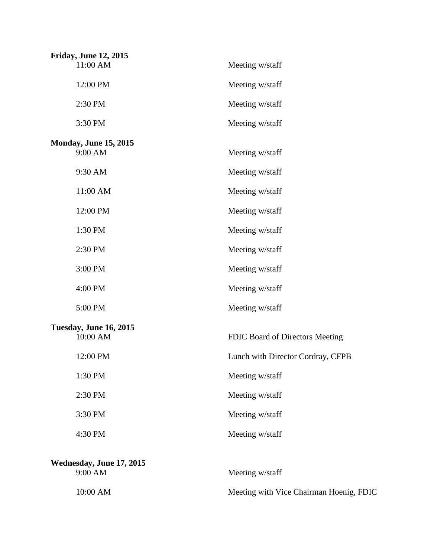| <b>Friday, June 12, 2015</b>              |                                         |
|-------------------------------------------|-----------------------------------------|
| 11:00 AM                                  | Meeting w/staff                         |
| 12:00 PM                                  | Meeting w/staff                         |
| 2:30 PM                                   | Meeting w/staff                         |
| 3:30 PM                                   | Meeting w/staff                         |
| <b>Monday, June 15, 2015</b><br>9:00 AM   | Meeting w/staff                         |
| 9:30 AM                                   | Meeting w/staff                         |
| 11:00 AM                                  | Meeting w/staff                         |
| 12:00 PM                                  | Meeting w/staff                         |
| 1:30 PM                                   | Meeting w/staff                         |
| 2:30 PM                                   | Meeting w/staff                         |
| 3:00 PM                                   | Meeting w/staff                         |
| 4:00 PM                                   | Meeting w/staff                         |
| 5:00 PM                                   | Meeting w/staff                         |
| <b>Tuesday, June 16, 2015</b><br>10:00 AM | FDIC Board of Directors Meeting         |
| 12:00 PM                                  | Lunch with Director Cordray, CFPB       |
| 1:30 PM                                   | Meeting w/staff                         |
| 2:30 PM                                   | Meeting w/staff                         |
| 3:30 PM                                   | Meeting w/staff                         |
| 4:30 PM                                   | Meeting w/staff                         |
| Wednesday, June 17, 2015                  |                                         |
| 9:00 AM                                   | Meeting w/staff                         |
| 10:00 AM                                  | Meeting with Vice Chairman Hoenig, FDIC |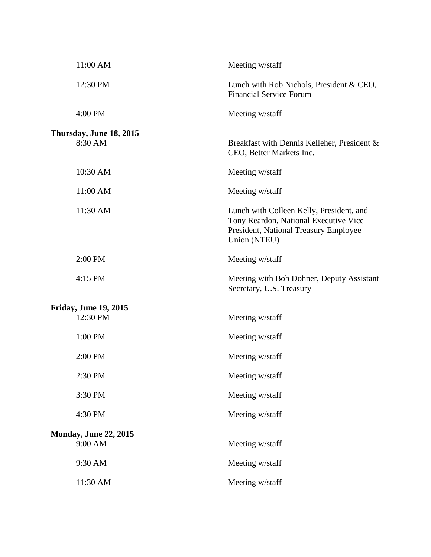| 11:00 AM                                 | Meeting w/staff                                                                                                                            |
|------------------------------------------|--------------------------------------------------------------------------------------------------------------------------------------------|
| 12:30 PM                                 | Lunch with Rob Nichols, President & CEO,<br><b>Financial Service Forum</b>                                                                 |
| 4:00 PM                                  | Meeting w/staff                                                                                                                            |
| Thursday, June 18, 2015<br>8:30 AM       | Breakfast with Dennis Kelleher, President &<br>CEO, Better Markets Inc.                                                                    |
| 10:30 AM                                 | Meeting w/staff                                                                                                                            |
| 11:00 AM                                 | Meeting w/staff                                                                                                                            |
| 11:30 AM                                 | Lunch with Colleen Kelly, President, and<br>Tony Reardon, National Executive Vice<br>President, National Treasury Employee<br>Union (NTEU) |
| 2:00 PM                                  | Meeting w/staff                                                                                                                            |
| 4:15 PM                                  | Meeting with Bob Dohner, Deputy Assistant<br>Secretary, U.S. Treasury                                                                      |
| <b>Friday, June 19, 2015</b><br>12:30 PM | Meeting w/staff                                                                                                                            |
| 1:00 PM                                  | Meeting w/staff                                                                                                                            |
| 2:00 PM                                  | Meeting w/staff                                                                                                                            |
| 2:30 PM                                  | Meeting w/staff                                                                                                                            |
| 3:30 PM                                  | Meeting w/staff                                                                                                                            |
| 4:30 PM                                  | Meeting w/staff                                                                                                                            |
| <b>Monday, June 22, 2015</b><br>9:00 AM  | Meeting w/staff                                                                                                                            |
| 9:30 AM                                  | Meeting w/staff                                                                                                                            |
| 11:30 AM                                 | Meeting w/staff                                                                                                                            |
|                                          |                                                                                                                                            |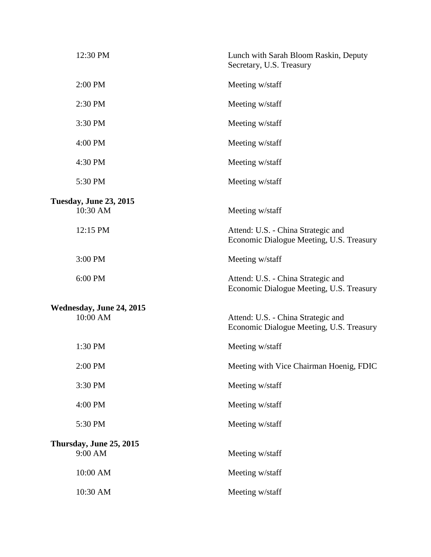| 12:30 PM                                  | Lunch with Sarah Bloom Raskin, Deputy<br>Secretary, U.S. Treasury              |
|-------------------------------------------|--------------------------------------------------------------------------------|
| 2:00 PM                                   | Meeting w/staff                                                                |
| 2:30 PM                                   | Meeting w/staff                                                                |
| 3:30 PM                                   | Meeting w/staff                                                                |
| 4:00 PM                                   | Meeting w/staff                                                                |
| 4:30 PM                                   | Meeting w/staff                                                                |
| 5:30 PM                                   | Meeting w/staff                                                                |
| <b>Tuesday, June 23, 2015</b><br>10:30 AM | Meeting w/staff                                                                |
| 12:15 PM                                  | Attend: U.S. - China Strategic and<br>Economic Dialogue Meeting, U.S. Treasury |
| 3:00 PM                                   | Meeting w/staff                                                                |
| 6:00 PM                                   | Attend: U.S. - China Strategic and<br>Economic Dialogue Meeting, U.S. Treasury |
| Wednesday, June 24, 2015<br>10:00 AM      | Attend: U.S. - China Strategic and                                             |
|                                           | Economic Dialogue Meeting, U.S. Treasury                                       |
| 1:30 PM                                   | Meeting w/staff                                                                |
| 2:00 PM                                   | Meeting with Vice Chairman Hoenig, FDIC                                        |
| 3:30 PM                                   | Meeting w/staff                                                                |
| 4:00 PM                                   | Meeting w/staff                                                                |
| 5:30 PM                                   | Meeting w/staff                                                                |
| Thursday, June 25, 2015<br>9:00 AM        | Meeting w/staff                                                                |
| 10:00 AM                                  | Meeting w/staff                                                                |
| 10:30 AM                                  | Meeting w/staff                                                                |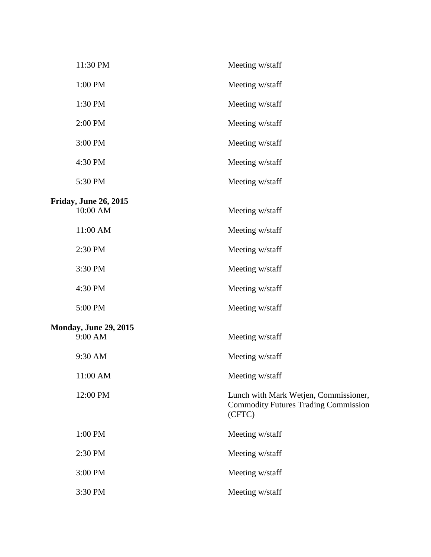| 11:30 PM                     | Meeting w/staff                                                                                |  |  |  |
|------------------------------|------------------------------------------------------------------------------------------------|--|--|--|
| 1:00 PM                      | Meeting w/staff                                                                                |  |  |  |
| 1:30 PM                      | Meeting w/staff                                                                                |  |  |  |
| 2:00 PM                      | Meeting w/staff                                                                                |  |  |  |
| 3:00 PM                      | Meeting w/staff                                                                                |  |  |  |
| 4:30 PM                      | Meeting w/staff                                                                                |  |  |  |
| 5:30 PM                      | Meeting w/staff                                                                                |  |  |  |
| <b>Friday, June 26, 2015</b> |                                                                                                |  |  |  |
| 10:00 AM                     | Meeting w/staff                                                                                |  |  |  |
| 11:00 AM                     | Meeting w/staff                                                                                |  |  |  |
| 2:30 PM                      | Meeting w/staff                                                                                |  |  |  |
| 3:30 PM                      | Meeting w/staff                                                                                |  |  |  |
| 4:30 PM                      | Meeting w/staff                                                                                |  |  |  |
| 5:00 PM                      | Meeting w/staff                                                                                |  |  |  |
| <b>Monday, June 29, 2015</b> |                                                                                                |  |  |  |
| 9:00 AM                      | Meeting w/staff                                                                                |  |  |  |
| 9:30 AM                      | Meeting w/staff                                                                                |  |  |  |
| 11:00 AM                     | Meeting w/staff                                                                                |  |  |  |
| 12:00 PM                     | Lunch with Mark Wetjen, Commissioner,<br><b>Commodity Futures Trading Commission</b><br>(CFTC) |  |  |  |
| 1:00 PM                      | Meeting w/staff                                                                                |  |  |  |
| 2:30 PM                      | Meeting w/staff                                                                                |  |  |  |
| 3:00 PM                      | Meeting w/staff                                                                                |  |  |  |
| 3:30 PM                      | Meeting w/staff                                                                                |  |  |  |